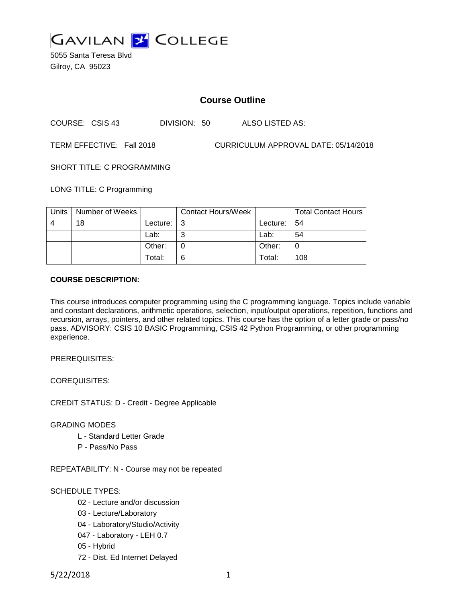

5055 Santa Teresa Blvd Gilroy, CA 95023

# **Course Outline**

COURSE: CSIS 43 DIVISION: 50 ALSO LISTED AS:

TERM EFFECTIVE: Fall 2018 CURRICULUM APPROVAL DATE: 05/14/2018

SHORT TITLE: C PROGRAMMING

LONG TITLE: C Programming

| Units | Number of Weeks |          | <b>Contact Hours/Week</b> |                 | <b>Total Contact Hours</b> |
|-------|-----------------|----------|---------------------------|-----------------|----------------------------|
|       | 18              | Lecture: | l 3                       | Lecture: $  54$ |                            |
|       |                 | Lab:     | ⌒                         | Lab:            | 54                         |
|       |                 | Other:   |                           | Other:          |                            |
|       |                 | Total:   | 6                         | Total:          | 108                        |

#### **COURSE DESCRIPTION:**

This course introduces computer programming using the C programming language. Topics include variable and constant declarations, arithmetic operations, selection, input/output operations, repetition, functions and recursion, arrays, pointers, and other related topics. This course has the option of a letter grade or pass/no pass. ADVISORY: CSIS 10 BASIC Programming, CSIS 42 Python Programming, or other programming experience.

PREREQUISITES:

COREQUISITES:

CREDIT STATUS: D - Credit - Degree Applicable

GRADING MODES

- L Standard Letter Grade
- P Pass/No Pass

REPEATABILITY: N - Course may not be repeated

SCHEDULE TYPES:

- 02 Lecture and/or discussion
- 03 Lecture/Laboratory
- 04 Laboratory/Studio/Activity
- 047 Laboratory LEH 0.7
- 05 Hybrid
- 72 Dist. Ed Internet Delayed

5/22/2018 1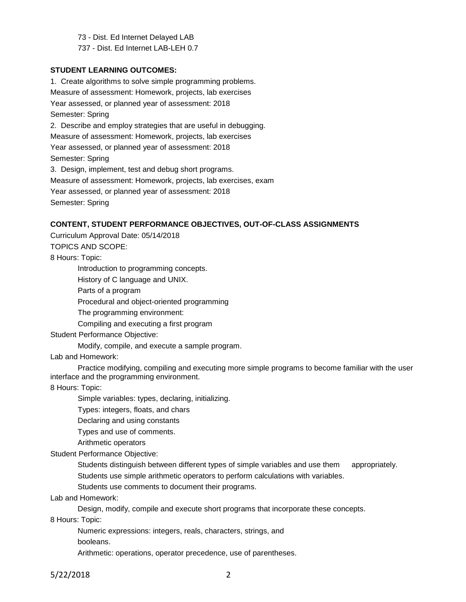73 - Dist. Ed Internet Delayed LAB 737 - Dist. Ed Internet LAB-LEH 0.7

**STUDENT LEARNING OUTCOMES:**

1. Create algorithms to solve simple programming problems. Measure of assessment: Homework, projects, lab exercises Year assessed, or planned year of assessment: 2018 Semester: Spring 2. Describe and employ strategies that are useful in debugging. Measure of assessment: Homework, projects, lab exercises Year assessed, or planned year of assessment: 2018 Semester: Spring 3. Design, implement, test and debug short programs. Measure of assessment: Homework, projects, lab exercises, exam Year assessed, or planned year of assessment: 2018 Semester: Spring

### **CONTENT, STUDENT PERFORMANCE OBJECTIVES, OUT-OF-CLASS ASSIGNMENTS**

Curriculum Approval Date: 05/14/2018 TOPICS AND SCOPE:

8 Hours: Topic:

Introduction to programming concepts.

History of C language and UNIX.

Parts of a program

Procedural and object-oriented programming

The programming environment:

Compiling and executing a first program

Student Performance Objective:

Modify, compile, and execute a sample program.

Lab and Homework:

Practice modifying, compiling and executing more simple programs to become familiar with the user interface and the programming environment.

8 Hours: Topic:

Simple variables: types, declaring, initializing.

Types: integers, floats, and chars

Declaring and using constants

Types and use of comments.

Arithmetic operators

Student Performance Objective:

Students distinguish between different types of simple variables and use them appropriately. Students use simple arithmetic operators to perform calculations with variables.

Students use comments to document their programs.

Lab and Homework:

Design, modify, compile and execute short programs that incorporate these concepts.

8 Hours: Topic:

Numeric expressions: integers, reals, characters, strings, and booleans.

Arithmetic: operations, operator precedence, use of parentheses.

5/22/2018 2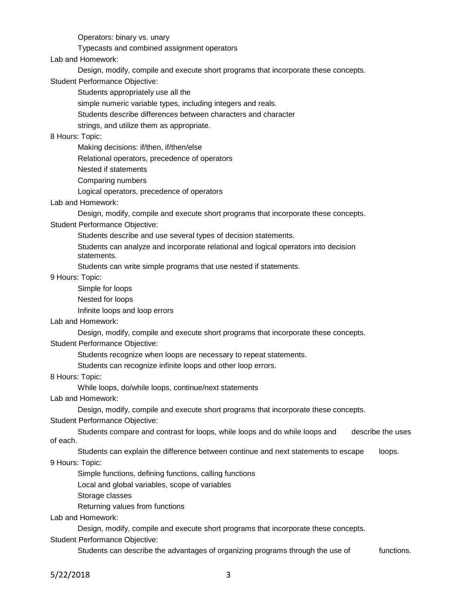Operators: binary vs. unary

Typecasts and combined assignment operators

Lab and Homework:

Design, modify, compile and execute short programs that incorporate these concepts.

Student Performance Objective:

Students appropriately use all the

simple numeric variable types, including integers and reals.

Students describe differences between characters and character

strings, and utilize them as appropriate.

8 Hours: Topic:

Making decisions: if/then, if/then/else

Relational operators, precedence of operators

Nested if statements

Comparing numbers

Logical operators, precedence of operators

Lab and Homework:

Design, modify, compile and execute short programs that incorporate these concepts.

Student Performance Objective:

Students describe and use several types of decision statements.

Students can analyze and incorporate relational and logical operators into decision statements.

Students can write simple programs that use nested if statements.

9 Hours: Topic:

Simple for loops Nested for loops

Infinite loops and loop errors

Lab and Homework:

Design, modify, compile and execute short programs that incorporate these concepts.

Student Performance Objective:

Students recognize when loops are necessary to repeat statements.

Students can recognize infinite loops and other loop errors.

8 Hours: Topic:

While loops, do/while loops, continue/next statements

Lab and Homework:

Design, modify, compile and execute short programs that incorporate these concepts.

Student Performance Objective:

Students compare and contrast for loops, while loops and do while loops and describe the uses of each.

Students can explain the difference between continue and next statements to escape loops.

9 Hours: Topic:

Simple functions, defining functions, calling functions

Local and global variables, scope of variables

Storage classes

Returning values from functions

Lab and Homework:

Design, modify, compile and execute short programs that incorporate these concepts.

Student Performance Objective:

Students can describe the advantages of organizing programs through the use of functions.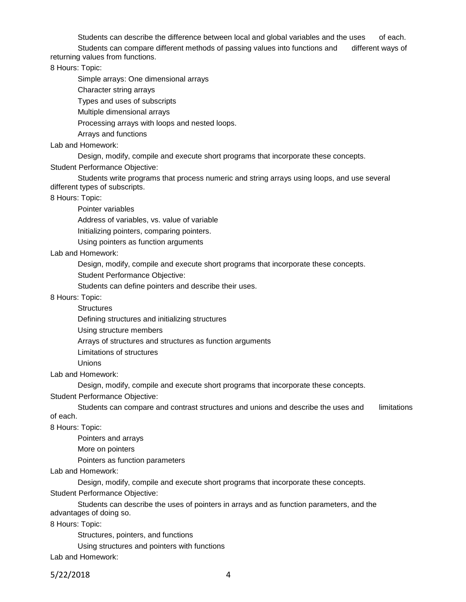Students can describe the difference between local and global variables and the uses of each. Students can compare different methods of passing values into functions and different ways of returning values from functions.

8 Hours: Topic:

Simple arrays: One dimensional arrays

Character string arrays

Types and uses of subscripts

Multiple dimensional arrays

Processing arrays with loops and nested loops.

Arrays and functions

Lab and Homework:

Design, modify, compile and execute short programs that incorporate these concepts.

Student Performance Objective:

Students write programs that process numeric and string arrays using loops, and use several different types of subscripts.

8 Hours: Topic:

Pointer variables

Address of variables, vs. value of variable

Initializing pointers, comparing pointers.

Using pointers as function arguments

Lab and Homework:

Design, modify, compile and execute short programs that incorporate these concepts.

Student Performance Objective:

Students can define pointers and describe their uses.

8 Hours: Topic:

**Structures** 

Defining structures and initializing structures

Using structure members

Arrays of structures and structures as function arguments

Limitations of structures

Unions

Lab and Homework:

Design, modify, compile and execute short programs that incorporate these concepts.

Student Performance Objective:

Students can compare and contrast structures and unions and describe the uses and limitations of each.

8 Hours: Topic:

Pointers and arrays

More on pointers

Pointers as function parameters

Lab and Homework:

Design, modify, compile and execute short programs that incorporate these concepts.

Student Performance Objective:

Students can describe the uses of pointers in arrays and as function parameters, and the advantages of doing so.

8 Hours: Topic:

Structures, pointers, and functions

Using structures and pointers with functions

Lab and Homework:

5/22/2018 4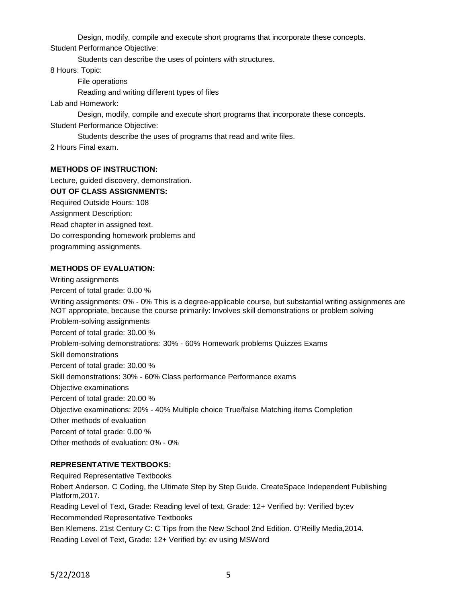Design, modify, compile and execute short programs that incorporate these concepts.

Student Performance Objective:

Students can describe the uses of pointers with structures.

8 Hours: Topic:

File operations

Reading and writing different types of files

Lab and Homework:

Design, modify, compile and execute short programs that incorporate these concepts.

Student Performance Objective:

Students describe the uses of programs that read and write files.

2 Hours Final exam.

### **METHODS OF INSTRUCTION:**

Lecture, guided discovery, demonstration. **OUT OF CLASS ASSIGNMENTS:** Required Outside Hours: 108 Assignment Description: Read chapter in assigned text. Do corresponding homework problems and programming assignments.

## **METHODS OF EVALUATION:**

Writing assignments Percent of total grade: 0.00 % Writing assignments: 0% - 0% This is a degree-applicable course, but substantial writing assignments are NOT appropriate, because the course primarily: Involves skill demonstrations or problem solving Problem-solving assignments Percent of total grade: 30.00 % Problem-solving demonstrations: 30% - 60% Homework problems Quizzes Exams Skill demonstrations Percent of total grade: 30.00 % Skill demonstrations: 30% - 60% Class performance Performance exams Objective examinations Percent of total grade: 20.00 % Objective examinations: 20% - 40% Multiple choice True/false Matching items Completion Other methods of evaluation Percent of total grade: 0.00 % Other methods of evaluation: 0% - 0%

## **REPRESENTATIVE TEXTBOOKS:**

Required Representative Textbooks Robert Anderson. C Coding, the Ultimate Step by Step Guide. CreateSpace Independent Publishing Platform,2017. Reading Level of Text, Grade: Reading level of text, Grade: 12+ Verified by: Verified by:ev Recommended Representative Textbooks Ben Klemens. 21st Century C: C Tips from the New School 2nd Edition. O'Reilly Media,2014. Reading Level of Text, Grade: 12+ Verified by: ev using MSWord